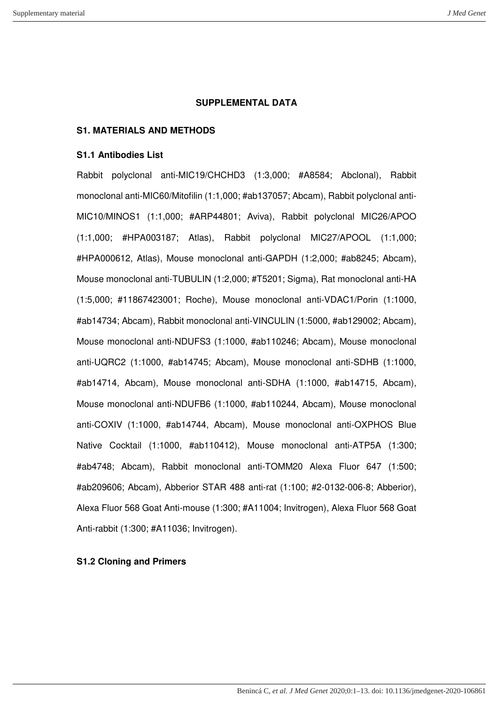## **SUPPLEMENTAL DATA**

#### **S1. MATERIALS AND METHODS**

# **S1.1 Antibodies List**

Rabbit polyclonal anti-MIC19/CHCHD3 (1:3,000; #A8584; Abclonal), Rabbit monoclonal anti-MIC60/Mitofilin (1:1,000; #ab137057; Abcam), Rabbit polyclonal anti-MIC10/MINOS1 (1:1,000; #ARP44801; Aviva), Rabbit polyclonal MIC26/APOO (1:1,000; #HPA003187; Atlas), Rabbit polyclonal MIC27/APOOL (1:1,000; #HPA000612, Atlas), Mouse monoclonal anti-GAPDH (1:2,000; #ab8245; Abcam), Mouse monoclonal anti-TUBULIN (1:2,000; #T5201; Sigma), Rat monoclonal anti-HA (1:5,000; #11867423001; Roche), Mouse monoclonal anti-VDAC1/Porin (1:1000, #ab14734; Abcam), Rabbit monoclonal anti-VINCULIN (1:5000, #ab129002; Abcam), Mouse monoclonal anti-NDUFS3 (1:1000, #ab110246; Abcam), Mouse monoclonal anti-UQRC2 (1:1000, #ab14745; Abcam), Mouse monoclonal anti-SDHB (1:1000, #ab14714, Abcam), Mouse monoclonal anti-SDHA (1:1000, #ab14715, Abcam), Mouse monoclonal anti-NDUFB6 (1:1000, #ab110244, Abcam), Mouse monoclonal anti-COXIV (1:1000, #ab14744, Abcam), Mouse monoclonal anti-OXPHOS Blue Native Cocktail (1:1000, #ab110412), Mouse monoclonal anti-ATP5A (1:300; #ab4748; Abcam), Rabbit monoclonal anti-TOMM20 Alexa Fluor 647 (1:500; #ab209606; Abcam), Abberior STAR 488 anti-rat (1:100; #2-0132-006-8; Abberior), Alexa Fluor 568 Goat Anti-mouse (1:300; #A11004; Invitrogen), Alexa Fluor 568 Goat Anti-rabbit (1:300; #A11036; Invitrogen).

#### **S1.2 Cloning and Primers**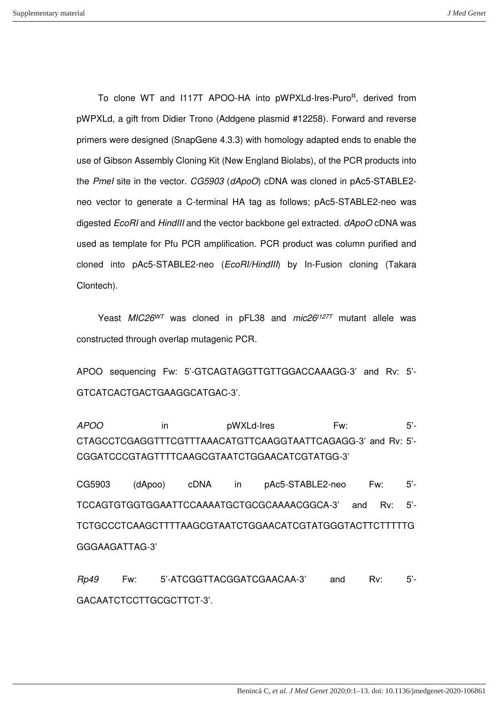To clone WT and I117T APOO-HA into pWPXLd-Ires-Puro <sup>R</sup>, derived from pWPXLd, a gift from Didier Trono (Addgene plasmid #12258). Forward and reverse primers were designed (SnapGene 4.3.3) with homology adapted ends to enable the use of Gibson Assembly Cloning Kit (New England Biolabs), of the PCR products into the Pmel site in the vector. CG5903 (dApoO) cDNA was cloned in pAc5-STABLE2neo vector to generate a C-terminal HA tag as follows; pAc5-STABLE2-neo was digested EcoRI and HindIII and the vector backbone gel extracted. dApoO cDNA was used as template for Pfu PCR amplification. PCR product was column purified and cloned into pAc5-STABLE2-neo (EcoRI/HindIII) by In-Fusion cloning (Takara Clontech).

Yeast  $MIC26<sup>WT</sup>$  was cloned in pFL38 and  $mic26<sup>1127T</sup>$  mutant allele was constructed through overlap mutagenic PCR.

APOO sequencing Fw: 5'-GTCAGTAGGTTGTTGGACCAAAGG-3' and Rv: 5'- GTCATCACTGACTGAAGGCATGAC-3'.

APOO in pWXLd-Ires Fw: 5'- CTAGCCTCGAGGTTTCGTTTAAACATGTTCAAGGTAATTCAGAGG-3' and Rv: 5'- CGGATCCCGTAGTTTTCAAGCGTAATCTGGAACATCGTATGG-3'

CG5903 (dApoo) cDNA in pAc5-STABLE2-neo Fw: 5'- TCCAGTGTGGTGGAATTCCAAAATGCTGCGCAAAACGGCA-3' and Rv: 5'- TCTGCCCTCAAGCTTTTAAGCGTAATCTGGAACATCGTATGGGTACTTCTTTTTG GGGAAGATTAG-3'

Rp49 Fw: 5'-ATCGGTTACGGATCGAACAA-3' and Rv: 5'- GACAATCTCCTTGCGCTTCT-3'.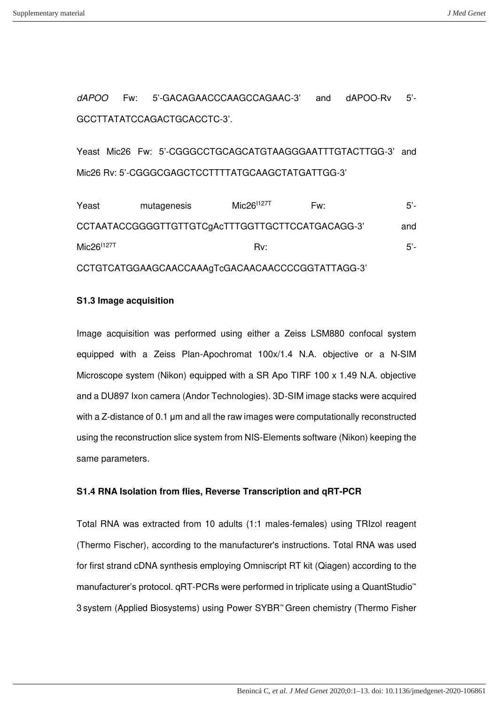dAPOO Fw: 5'-GACAGAACCCAAGCCAGAAC-3' and dAPOO-Rv 5'- GCCTTATATCCAGACTGCACCTC-3'.

Yeast Mic26 Fw: 5'-CGGGCCTGCAGCATGTAAGGGAATTTGTACTTGG-3' and Mic26 Rv: 5'-CGGGCGAGCTCCTTTTATGCAAGCTATGATTGG-3'

Yeast mutagenesis Mic26<sup>1127T</sup> Fw: 5<sup>'</sup>-CCTAATACCGGGGTTGTTGTCgAcTTTGGTTGCTTCCATGACAGG-3' and  $Mic26^{1127T}$  5'-CCTGTCATGGAAGCAACCAAAgTcGACAACAACCCCGGTATTAGG-3'

## **S1.3 Image acquisition**

Image acquisition was performed using either a Zeiss LSM880 confocal system equipped with a Zeiss Plan-Apochromat 100x/1.4 N.A. objective or a N-SIM Microscope system (Nikon) equipped with a SR Apo TIRF 100 x 1.49 N.A. objective and a DU897 Ixon camera (Andor Technologies). 3D-SIM image stacks were acquired with a Z-distance of 0.1 μm and all the raw images were computationally reconstructed using the reconstruction slice system from NIS-Elements software (Nikon) keeping the same parameters.

# **S1.4 RNA Isolation from flies, Reverse Transcription and qRT-PCR**

Total RNA was extracted from 10 adults (1:1 males-females) using TRIzol reagent (Thermo Fischer), according to the manufacturer's instructions. Total RNA was used for first strand cDNA synthesis employing Omniscript RT kit (Qiagen) according to the manufacturer's protocol. qRT-PCRs were performed in triplicate using a QuantStudio™ 3 system (Applied Biosystems) using Power SYBR™ Green chemistry (Thermo Fisher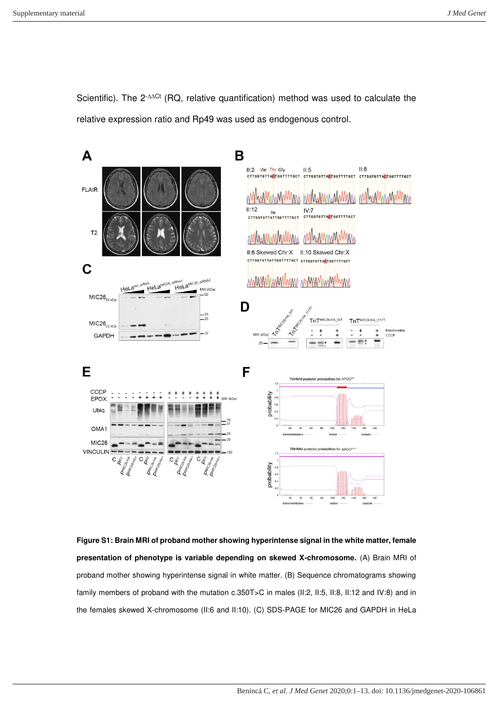Scientific). The 2<sup>-∆∆Ct</sup> (RQ, relative quantification) method was used to calculate the relative expression ratio and Rp49 was used as endogenous control.



**Figure S1: Brain MRI of proband mother showing hyperintense signal in the white matter, female presentation of phenotype is variable depending on skewed X-chromosome.** (A) Brain MRI of proband mother showing hyperintense signal in white matter. (B) Sequence chromatograms showing family members of proband with the mutation c.350T>C in males (II:2, II:5, II:8, II:12 and IV:8) and in the females skewed X-chromosome (II:6 and II:10). (C) SDS-PAGE for MIC26 and GAPDH in HeLa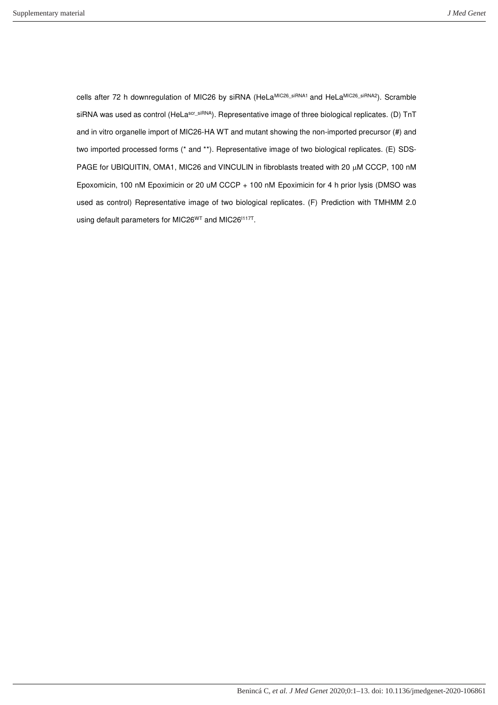cells after 72 h downregulation of MIC26 by siRNA (HeLaMIC26\_siRNA1 and HeLaMIC26\_siRNA2). Scramble siRNA was used as control (HeLascr\_siRNA). Representative image of three biological replicates. (D) TnT and in vitro organelle import of MIC26-HA WT and mutant showing the non-imported precursor (#) and two imported processed forms (\* and \*\*). Representative image of two biological replicates. (E) SDS-PAGE for UBIQUITIN, OMA1, MIC26 and VINCULIN in fibroblasts treated with 20 µM CCCP, 100 nM Epoxomicin, 100 nM Epoximicin or 20 uM CCCP + 100 nM Epoximicin for 4 h prior lysis (DMSO was used as control) Representative image of two biological replicates. (F) Prediction with TMHMM 2.0 using default parameters for MIC26<sup>WT</sup> and MIC26<sup>1117T</sup>.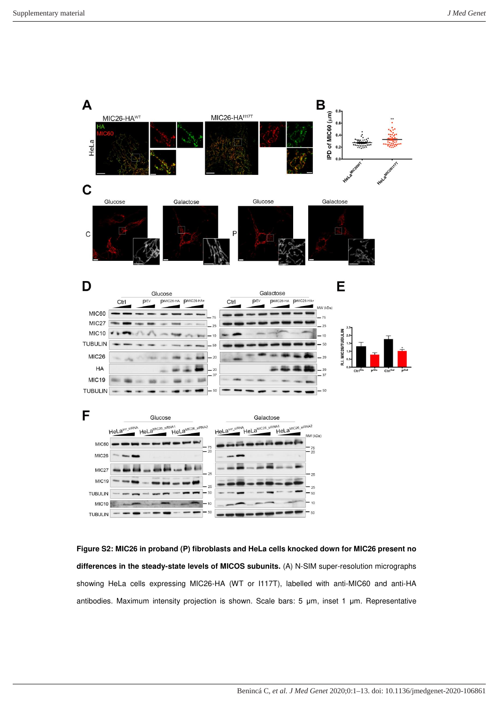

**Figure S2: MIC26 in proband (P) fibroblasts and HeLa cells knocked down for MIC26 present no differences in the steady-state levels of MICOS subunits.** (A) N-SIM super-resolution micrographs showing HeLa cells expressing MIC26-HA (WT or I117T), labelled with anti-MIC60 and anti-HA antibodies. Maximum intensity projection is shown. Scale bars: 5 μm, inset 1 μm. Representative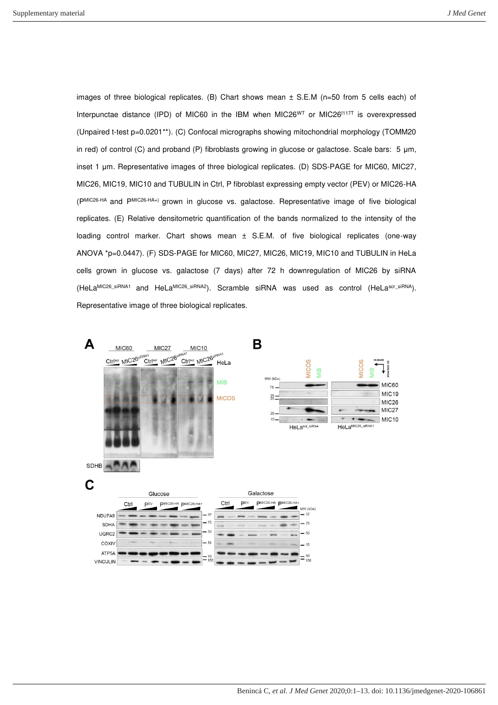images of three biological replicates. (B) Chart shows mean  $\pm$  S.E.M (n=50 from 5 cells each) of Interpunctae distance (IPD) of MIC60 in the IBM when MIC26<sup>WT</sup> or MIC26<sup>1117T</sup> is overexpressed (Unpaired t-test p=0.0201\*\*). (C) Confocal micrographs showing mitochondrial morphology (TOMM20 in red) of control (C) and proband (P) fibroblasts growing in glucose or galactose. Scale bars: 5 μm, inset 1 μm. Representative images of three biological replicates. (D) SDS-PAGE for MIC60, MIC27, MIC26, MIC19, MIC10 and TUBULIN in Ctrl, P fibroblast expressing empty vector (PEV) or MIC26-HA (PMIC26-HA and PMIC26-HA+) grown in glucose vs. galactose. Representative image of five biological replicates. (E) Relative densitometric quantification of the bands normalized to the intensity of the loading control marker. Chart shows mean ± S.E.M. of five biological replicates (one-way ANOVA \*p=0.0447). (F) SDS-PAGE for MIC60, MIC27, MIC26, MIC19, MIC10 and TUBULIN in HeLa cells grown in glucose vs. galactose (7 days) after 72 h downregulation of MIC26 by siRNA (HeLaMIC26\_siRNA1 and HeLaMIC26\_siRNA2). Scramble siRNA was used as control (HeLa<sup>scr\_siRNA</sup>). Representative image of three biological replicates.

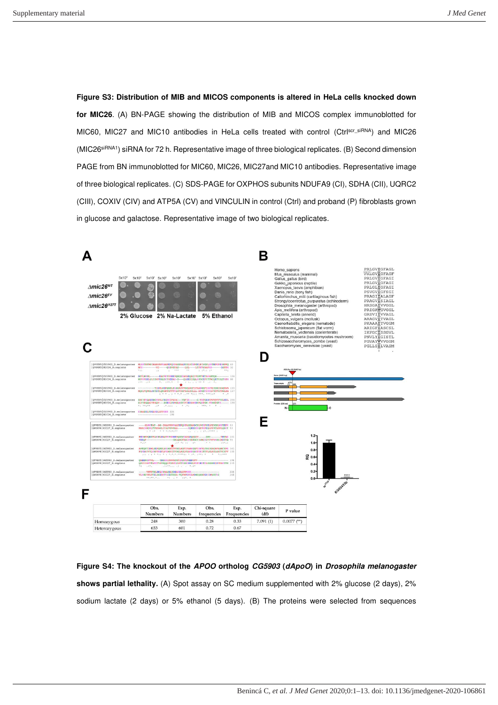**Figure S3: Distribution of MIB and MICOS components is altered in HeLa cells knocked down for MIC26**. (A) BN-PAGE showing the distribution of MIB and MICOS complex immunoblotted for MIC60, MIC27 and MIC10 antibodies in HeLa cells treated with control (Ctrl<sup>scr\_siRNA</sup>) and MIC26 (MIC26siRNA1) siRNA for 72 h. Representative image of three biological replicates. (B) Second dimension PAGE from BN immunoblotted for MIC60, MIC26, MIC27and MIC10 antibodies. Representative image of three biological replicates. (C) SDS-PAGE for OXPHOS subunits NDUFA9 (CI), SDHA (CII), UQRC2 (CIII), COXIV (CIV) and ATP5A (CV) and VINCULIN in control (Ctrl) and proband (P) fibroblasts grown in glucose and galactose. Representative image of two biological replicates.



**Figure S4: The knockout of the APOO ortholog CG5903 (dApoO) in Drosophila melanogaster shows partial lethality.** (A) Spot assay on SC medium supplemented with 2% glucose (2 days), 2% sodium lactate (2 days) or 5% ethanol (5 days). (B) The proteins were selected from sequences